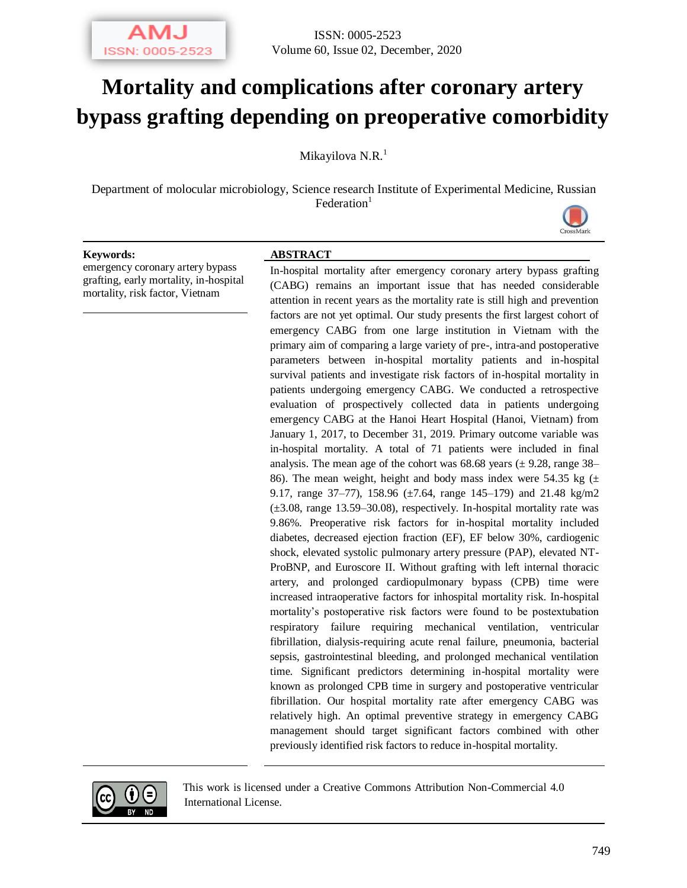

# **Mortality and complications after coronary artery bypass grafting depending on preoperative comorbidity**

Mikayilova N.R.<sup>1</sup>

Department of molocular microbiology, Science research Institute of Experimental Medicine, Russian  $Federation<sup>1</sup>$ 



#### **Keywords: ABSTRACT**

emergency coronary artery bypass grafting, early mortality, in-hospital mortality, risk factor, Vietnam

In-hospital mortality after emergency coronary artery bypass grafting (CABG) remains an important issue that has needed considerable attention in recent years as the mortality rate is still high and prevention factors are not yet optimal. Our study presents the first largest cohort of emergency CABG from one large institution in Vietnam with the primary aim of comparing a large variety of pre-, intra-and postoperative parameters between in-hospital mortality patients and in-hospital survival patients and investigate risk factors of in-hospital mortality in patients undergoing emergency CABG. We conducted a retrospective evaluation of prospectively collected data in patients undergoing emergency CABG at the Hanoi Heart Hospital (Hanoi, Vietnam) from January 1, 2017, to December 31, 2019. Primary outcome variable was in-hospital mortality. A total of 71 patients were included in final analysis. The mean age of the cohort was  $68.68$  years ( $\pm$  9.28, range 38– 86). The mean weight, height and body mass index were 54.35 kg  $(\pm$ 9.17, range 37–77), 158.96 (±7.64, range 145–179) and 21.48 kg/m2  $(\pm 3.08, \text{ range } 13.59 - 30.08)$ , respectively. In-hospital mortality rate was 9.86%. Preoperative risk factors for in-hospital mortality included diabetes, decreased ejection fraction (EF), EF below 30%, cardiogenic shock, elevated systolic pulmonary artery pressure (PAP), elevated NT-ProBNP, and Euroscore II. Without grafting with left internal thoracic artery, and prolonged cardiopulmonary bypass (CPB) time were increased intraoperative factors for inhospital mortality risk. In-hospital mortality's postoperative risk factors were found to be postextubation respiratory failure requiring mechanical ventilation, ventricular fibrillation, dialysis-requiring acute renal failure, pneumonia, bacterial sepsis, gastrointestinal bleeding, and prolonged mechanical ventilation time. Significant predictors determining in-hospital mortality were known as prolonged CPB time in surgery and postoperative ventricular fibrillation. Our hospital mortality rate after emergency CABG was relatively high. An optimal preventive strategy in emergency CABG management should target significant factors combined with other previously identified risk factors to reduce in-hospital mortality.



This work is licensed under a Creative Commons Attribution Non-Commercial 4.0 International License.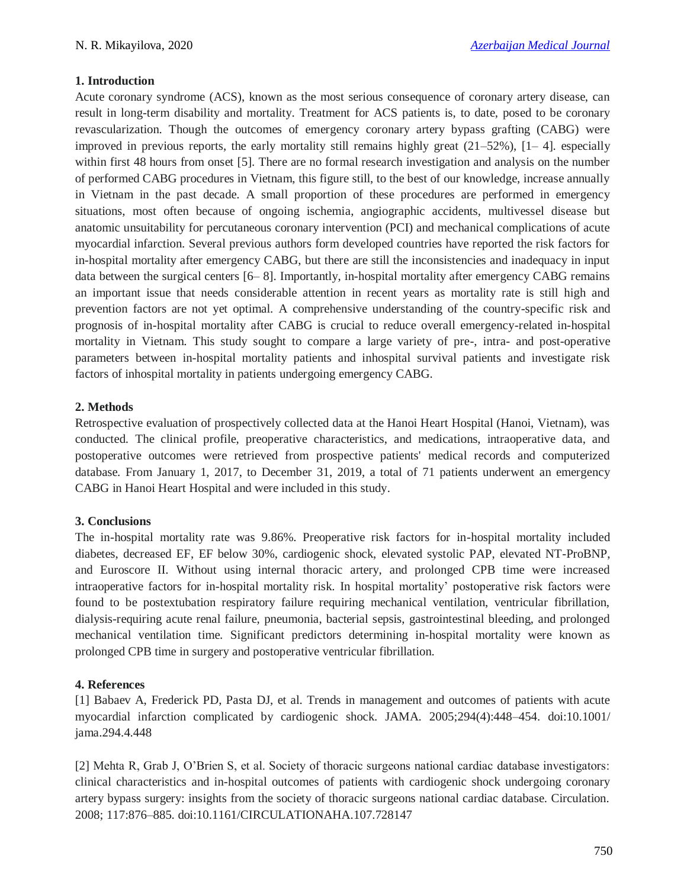### **1. Introduction**

Acute coronary syndrome (ACS), known as the most serious consequence of coronary artery disease, can result in long-term disability and mortality. Treatment for ACS patients is, to date, posed to be coronary revascularization. Though the outcomes of emergency coronary artery bypass grafting (CABG) were improved in previous reports, the early mortality still remains highly great  $(21–52\%)$ ,  $[1– 4]$ . especially within first 48 hours from onset [5]. There are no formal research investigation and analysis on the number of performed CABG procedures in Vietnam, this figure still, to the best of our knowledge, increase annually in Vietnam in the past decade. A small proportion of these procedures are performed in emergency situations, most often because of ongoing ischemia, angiographic accidents, multivessel disease but anatomic unsuitability for percutaneous coronary intervention (PCI) and mechanical complications of acute myocardial infarction. Several previous authors form developed countries have reported the risk factors for in-hospital mortality after emergency CABG, but there are still the inconsistencies and inadequacy in input data between the surgical centers [6– 8]. Importantly, in-hospital mortality after emergency CABG remains an important issue that needs considerable attention in recent years as mortality rate is still high and prevention factors are not yet optimal. A comprehensive understanding of the country-specific risk and prognosis of in-hospital mortality after CABG is crucial to reduce overall emergency-related in-hospital mortality in Vietnam. This study sought to compare a large variety of pre-, intra- and post-operative parameters between in-hospital mortality patients and inhospital survival patients and investigate risk factors of inhospital mortality in patients undergoing emergency CABG.

### **2. Methods**

Retrospective evaluation of prospectively collected data at the Hanoi Heart Hospital (Hanoi, Vietnam), was conducted. The clinical profile, preoperative characteristics, and medications, intraoperative data, and postoperative outcomes were retrieved from prospective patients' medical records and computerized database. From January 1, 2017, to December 31, 2019, a total of 71 patients underwent an emergency CABG in Hanoi Heart Hospital and were included in this study.

#### **3. Conclusions**

The in-hospital mortality rate was 9.86%. Preoperative risk factors for in-hospital mortality included diabetes, decreased EF, EF below 30%, cardiogenic shock, elevated systolic PAP, elevated NT-ProBNP, and Euroscore II. Without using internal thoracic artery, and prolonged CPB time were increased intraoperative factors for in-hospital mortality risk. In hospital mortality' postoperative risk factors were found to be postextubation respiratory failure requiring mechanical ventilation, ventricular fibrillation, dialysis-requiring acute renal failure, pneumonia, bacterial sepsis, gastrointestinal bleeding, and prolonged mechanical ventilation time. Significant predictors determining in-hospital mortality were known as prolonged CPB time in surgery and postoperative ventricular fibrillation.

## **4. References**

[1] Babaev A, Frederick PD, Pasta DJ, et al. Trends in management and outcomes of patients with acute myocardial infarction complicated by cardiogenic shock. JAMA. 2005;294(4):448–454. doi:10.1001/ jama.294.4.448

[2] Mehta R, Grab J, O'Brien S, et al. Society of thoracic surgeons national cardiac database investigators: clinical characteristics and in-hospital outcomes of patients with cardiogenic shock undergoing coronary artery bypass surgery: insights from the society of thoracic surgeons national cardiac database. Circulation. 2008; 117:876–885. doi:10.1161/CIRCULATIONAHA.107.728147